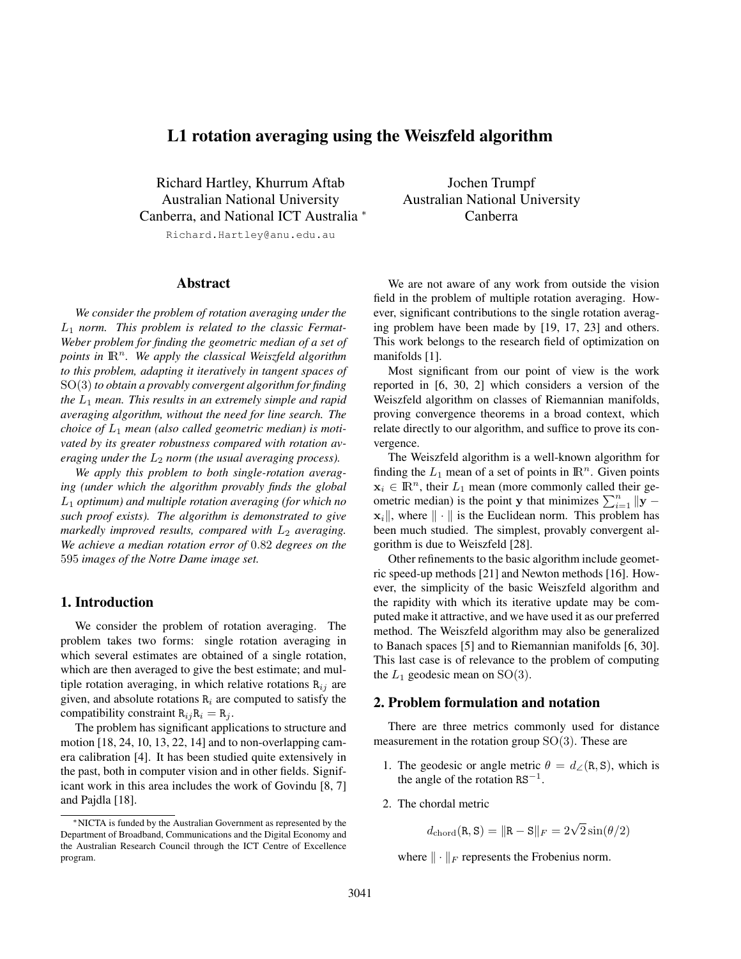# L1 rotation averaging using the Weiszfeld algorithm

Richard Hartley, Khurrum Aftab Australian National University Canberra, and National ICT Australia <sup>∗</sup>

Richard.Hartley@anu.edu.au

# Abstract

*We consider the problem of rotation averaging under the* L<sup>1</sup> *norm. This problem is related to the classic Fermat-Weber problem for finding the geometric median of a set of points in*  $\mathbb{R}^n$ . We apply the classical Weiszfeld algorithm *to this problem, adapting it iteratively in tangent spaces of* SO(3)*to obtain a provably convergent algorithm for finding the* L<sup>1</sup> *mean. This results in an extremely simple and rapid averaging algorithm, without the need for line search. The choice of* L<sup>1</sup> *mean (also called geometric median) is motivated by its greater robustness compared with rotation averaging under the*  $L_2$  *norm (the usual averaging process).* 

*We apply this problem to both single-rotation averaging (under which the algorithm provably finds the global* L<sup>1</sup> *optimum) and multiple rotation averaging (for which no such proof exists). The algorithm is demonstrated to give markedly improved results, compared with*  $L_2$  *averaging. We achieve a median rotation error of* 0.82 *degrees on the* 595 *images of the Notre Dame image set.*

# 1. Introduction

We consider the problem of rotation averaging. The problem takes two forms: single rotation averaging in which several estimates are obtained of a single rotation, which are then averaged to give the best estimate; and multiple rotation averaging, in which relative rotations  $R_{ij}$  are given, and absolute rotations  $R_i$  are computed to satisfy the compatibility constraint  $R_{ij}R_i = R_j$ .

The problem has significant applications to structure and motion [18, 24, 10, 13, 22, 14] and to non-overlapping camera calibration [4]. It has been studied quite extensively in the past, both in computer vision and in other fields. Significant work in this area includes the work of Govindu [8, 7] and Pajdla [18].

Jochen Trumpf Australian National University Canberra

We are not aware of any work from outside the vision field in the problem of multiple rotation averaging. However, significant contributions to the single rotation averaging problem have been made by [19, 17, 23] and others. This work belongs to the research field of optimization on manifolds [1].

Most significant from our point of view is the work reported in [6, 30, 2] which considers a version of the Weiszfeld algorithm on classes of Riemannian manifolds, proving convergence theorems in a broad context, which relate directly to our algorithm, and suffice to prove its convergence.

The Weiszfeld algorithm is a well-known algorithm for finding the  $L_1$  mean of a set of points in  $\mathbb{R}^n$ . Given points  $x_i \in \mathbb{R}^n$ , their  $L_1$  mean (more commonly called their geometric median) is the point y that minimizes  $\sum_{i=1}^{n} ||\mathbf{y} - \mathbf{y}||$  $\mathbf{x}_i$ , where  $\|\cdot\|$  is the Euclidean norm. This problem has been much studied. The simplest, provably convergent algorithm is due to Weiszfeld [28].

Other refinements to the basic algorithm include geometric speed-up methods [21] and Newton methods [16]. However, the simplicity of the basic Weiszfeld algorithm and the rapidity with which its iterative update may be computed make it attractive, and we have used it as our preferred method. The Weiszfeld algorithm may also be generalized to Banach spaces [5] and to Riemannian manifolds [6, 30]. This last case is of relevance to the problem of computing the  $L_1$  geodesic mean on SO(3).

### 2. Problem formulation and notation

There are three metrics commonly used for distance measurement in the rotation group  $SO(3)$ . These are

- 1. The geodesic or angle metric  $\theta = d_{\angle}(\mathbf{R}, \mathbf{S})$ , which is the angle of the rotation  $RS^{-1}$ .
- 2. The chordal metric

 $d_{\text{chord}}(R, S) = ||R - S||_F = 2\sqrt{2}\sin(\theta/2)$ 

where  $\|\cdot\|_F$  represents the Frobenius norm.

<sup>∗</sup>NICTA is funded by the Australian Government as represented by the Department of Broadband, Communications and the Digital Economy and the Australian Research Council through the ICT Centre of Excellence program.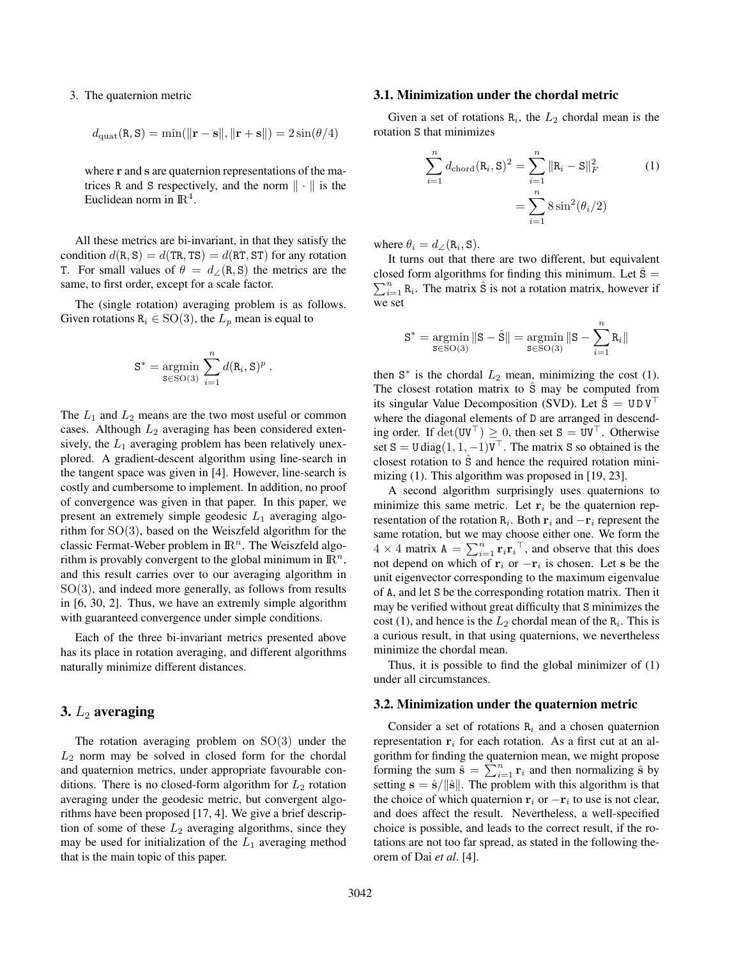#### 3. The quaternion metric

$$
d_{\rm{quat}}(\mathbf{R}, \mathbf{S}) = \min(\|\mathbf{r} - \mathbf{s}\|, \|\mathbf{r} + \mathbf{s}\|) = 2\sin(\theta/4)
$$

where r and s are quaternion representations of the matrices R and S respectively, and the norm  $\|\cdot\|$  is the Euclidean norm in  $\mathbb{R}^4$ .

All these metrics are bi-invariant, in that they satisfy the condition  $d(R, S) = d(TR, TS) = d(RT, ST)$  for any rotation T. For small values of  $\theta = d_{\angle}(\text{R}, \text{S})$  the metrics are the same, to first order, except for a scale factor.

The (single rotation) averaging problem is as follows. Given rotations  $R_i \in SO(3)$ , the  $L_p$  mean is equal to

$$
S^* = \underset{S \in SO(3)}{\operatorname{argmin}} \sum_{i=1}^n d(R_i, S)^p.
$$

The  $L_1$  and  $L_2$  means are the two most useful or common cases. Although  $L_2$  averaging has been considered extensively, the  $L_1$  averaging problem has been relatively unexplored. A gradient-descent algorithm using line-search in the tangent space was given in [4]. However, line-search is costly and cumbersome to implement. In addition, no proof of convergence was given in that paper. In this paper, we present an extremely simple geodesic  $L_1$  averaging algorithm for  $SO(3)$ , based on the Weiszfeld algorithm for the classic Fermat-Weber problem in  $\mathbb{R}^n$ . The Weiszfeld algorithm is provably convergent to the global minimum in  $\mathbb{R}^n$ , and this result carries over to our averaging algorithm in  $SO(3)$ , and indeed more generally, as follows from results in [6, 30, 2]. Thus, we have an extremly simple algorithm with guaranteed convergence under simple conditions.

Each of the three bi-invariant metrics presented above has its place in rotation averaging, and different algorithms naturally minimize different distances.

# 3.  $L_2$  averaging

The rotation averaging problem on  $SO(3)$  under the  $L_2$  norm may be solved in closed form for the chordal and quaternion metrics, under appropriate favourable conditions. There is no closed-form algorithm for  $L_2$  rotation averaging under the geodesic metric, but convergent algorithms have been proposed [17, 4]. We give a brief description of some of these  $L_2$  averaging algorithms, since they may be used for initialization of the  $L_1$  averaging method that is the main topic of this paper.

#### 3.1. Minimization under the chordal metric

Given a set of rotations  $R_i$ , the  $L_2$  chordal mean is the rotation S that minimizes

$$
\sum_{i=1}^{n} d_{\text{chord}}(\mathbf{R}_{i}, \mathbf{S})^{2} = \sum_{i=1}^{n} ||\mathbf{R}_{i} - \mathbf{S}||_{F}^{2}
$$
(1)  

$$
= \sum_{i=1}^{n} 8 \sin^{2}(\theta_{i}/2)
$$

where  $\theta_i = d_{\angle}(\mathbf{R}_i, \mathbf{S}).$ 

It turns out that there are two different, but equivalent  $\sum_{i=1}^{n} R_i$ . The matrix  $\hat{S}$  is not a rotation matrix, however if closed form algorithms for finding this minimum. Let  $\hat{s} =$ we set

$$
\mathbf{S}^* = \operatornamewithlimits{argmin}_{\mathbf{S} \in \mathrm{SO}(3)} \|\mathbf{S} - \hat{\mathbf{S}}\| = \operatornamewithlimits{argmin}_{\mathbf{S} \in \mathrm{SO}(3)} \|\mathbf{S} - \sum_{i=1}^n R_i\|
$$

then  $S^*$  is the chordal  $L_2$  mean, minimizing the cost (1). The closest rotation matrix to S may be computed from its singular Value Decomposition (SVD). Let  $\hat{S} = U D V^{\dagger}$ where the diagonal elements of D are arranged in descending order. If  $det(UV^{\top}) \geq 0$ , then set  $S = UV^{\top}$ . Otherwise set S = U diag $(1, 1, -1)\mathbf{V}^\top$ . The matrix S so obtained is the closest rotation to Sˆ and hence the required rotation minimizing (1). This algorithm was proposed in [19, 23].

A second algorithm surprisingly uses quaternions to minimize this same metric. Let  $r_i$  be the quaternion representation of the rotation  $\mathbf{R}_i$ . Both  $\mathbf{r}_i$  and  $-\mathbf{r}_i$  represent the same rotation, but we may choose either one. We form the  $4 \times 4$  matrix  $A = \sum_{i=1}^{n} \mathbf{r}_i \mathbf{r}_i^\top$ , and observe that this does not depend on which of  $\mathbf{r}_i$  or  $-\mathbf{r}_i$  is chosen. Let s be the unit eigenvector corresponding to the maximum eigenvalue of A, and let S be the corresponding rotation matrix. Then it may be verified without great difficulty that S minimizes the cost (1), and hence is the  $L_2$  chordal mean of the  $\mathbb{R}_i$ . This is a curious result, in that using quaternions, we nevertheless minimize the chordal mean.

Thus, it is possible to find the global minimizer of (1) under all circumstances.

#### 3.2. Minimization under the quaternion metric

Consider a set of rotations  $R_i$  and a chosen quaternion representation  $r_i$  for each rotation. As a first cut at an algorithm for finding the quaternion mean, we might propose forming the sum  $\ddot{\hat{\mathbf{s}}} = \sum_{i=1}^{n} \mathbf{r}_i$  and then normalizing  $\hat{\mathbf{s}}$  by setting  $s = \hat{s}/\|\hat{s}\|$ . The problem with this algorithm is that the choice of which quaternion  $\mathbf{r}_i$  or  $-\mathbf{r}_i$  to use is not clear, and does affect the result. Nevertheless, a well-specified choice is possible, and leads to the correct result, if the rotations are not too far spread, as stated in the following theorem of Dai *et al*. [4].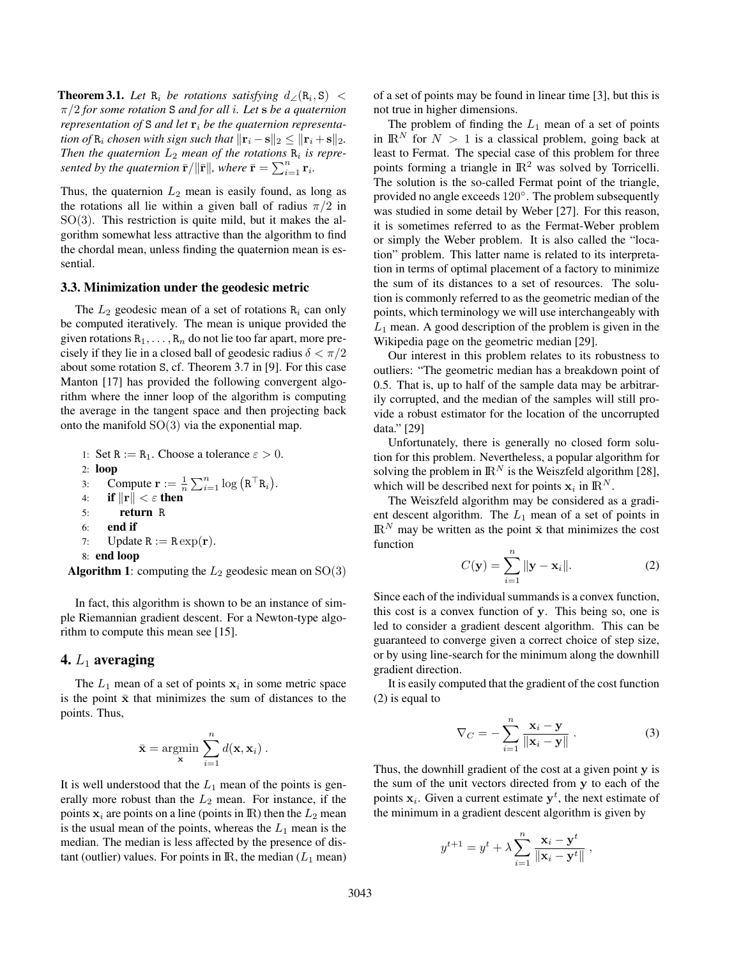**Theorem 3.1.** *Let*  $\mathbb{R}_i$  *be rotations satisfying*  $d_{\angle}(\mathbb{R}_i, \mathbb{S}) <$ π/2 *for some rotation* S *and for all* i*. Let* s *be a quaternion representation of* S *and let*  $\mathbf{r}_i$  *be the quaternion representation of*  $R_i$  *chosen with sign such that*  $\|\mathbf{r}_i - \mathbf{s}\|_2 \leq \|\mathbf{r}_i + \mathbf{s}\|_2$ . Then the quaternion  $L_2$  mean of the rotations  $\mathbf{R}_i$  is repre*sented by the quaternion*  $\bar{\mathbf{r}}/\|\bar{\mathbf{r}}\|$ *, where*  $\bar{\mathbf{r}} = \sum_{i=1}^{n} \mathbf{r}_i$ *.* 

Thus, the quaternion  $L_2$  mean is easily found, as long as the rotations all lie within a given ball of radius  $\pi/2$  in  $SO(3)$ . This restriction is quite mild, but it makes the algorithm somewhat less attractive than the algorithm to find the chordal mean, unless finding the quaternion mean is essential.

#### 3.3. Minimization under the geodesic metric

The  $L_2$  geodesic mean of a set of rotations  $R_i$  can only be computed iteratively. The mean is unique provided the given rotations  $R_1, \ldots, R_n$  do not lie too far apart, more precisely if they lie in a closed ball of geodesic radius  $\delta < \pi/2$ about some rotation S, cf. Theorem 3.7 in [9]. For this case Manton [17] has provided the following convergent algorithm where the inner loop of the algorithm is computing the average in the tangent space and then projecting back onto the manifold  $SO(3)$  via the exponential map.

\n- 1: Set R := R<sub>1</sub>. Choose a tolerance 
$$
\varepsilon > 0
$$
.
\n- 2: **loop**
\n- 3: Compute  $\mathbf{r} := \frac{1}{n} \sum_{i=1}^{n} \log (R^{T}R_{i})$ .
\n- 4: if  $||\mathbf{r}|| < \varepsilon$  then
\n- 5: return R
\n- 6: **end if**
\n- 7: Update R := R exp(\mathbf{r})
\n- 8: **end loop**
\n

**Algorithm 1:** computing the  $L_2$  geodesic mean on  $SO(3)$ 

In fact, this algorithm is shown to be an instance of simple Riemannian gradient descent. For a Newton-type algorithm to compute this mean see [15].

### 4.  $L_1$  averaging

The  $L_1$  mean of a set of points  $x_i$  in some metric space is the point  $\bar{x}$  that minimizes the sum of distances to the points. Thus,

$$
\bar{\mathbf{x}} = \operatorname*{argmin}_{\mathbf{x}} \sum_{i=1}^{n} d(\mathbf{x}, \mathbf{x}_i).
$$

It is well understood that the  $L_1$  mean of the points is generally more robust than the  $L_2$  mean. For instance, if the points  $x_i$  are points on a line (points in R) then the  $L_2$  mean is the usual mean of the points, whereas the  $L_1$  mean is the median. The median is less affected by the presence of distant (outlier) values. For points in  $\mathbb{R}$ , the median ( $L_1$  mean) of a set of points may be found in linear time [3], but this is not true in higher dimensions.

The problem of finding the  $L_1$  mean of a set of points in  $\mathbb{R}^N$  for  $N > 1$  is a classical problem, going back at least to Fermat. The special case of this problem for three points forming a triangle in  $\mathbb{R}^2$  was solved by Torricelli. The solution is the so-called Fermat point of the triangle, provided no angle exceeds 120°. The problem subsequently was studied in some detail by Weber [27]. For this reason, it is sometimes referred to as the Fermat-Weber problem or simply the Weber problem. It is also called the "location" problem. This latter name is related to its interpretation in terms of optimal placement of a factory to minimize the sum of its distances to a set of resources. The solution is commonly referred to as the geometric median of the points, which terminology we will use interchangeably with  $L_1$  mean. A good description of the problem is given in the Wikipedia page on the geometric median [29].

Our interest in this problem relates to its robustness to outliers: "The geometric median has a breakdown point of 0.5. That is, up to half of the sample data may be arbitrarily corrupted, and the median of the samples will still provide a robust estimator for the location of the uncorrupted data." [29]

Unfortunately, there is generally no closed form solution for this problem. Nevertheless, a popular algorithm for solving the problem in  $\mathbb{R}^N$  is the Weiszfeld algorithm [28], which will be described next for points  $x_i$  in  $\mathbb{R}^N$ .

The Weiszfeld algorithm may be considered as a gradient descent algorithm. The  $L_1$  mean of a set of points in  $\mathbb{R}^N$  may be written as the point  $\bar{\mathbf{x}}$  that minimizes the cost function

$$
C(\mathbf{y}) = \sum_{i=1}^{n} \|\mathbf{y} - \mathbf{x}_i\|.
$$
 (2)

Since each of the individual summands is a convex function, this cost is a convex function of y. This being so, one is led to consider a gradient descent algorithm. This can be guaranteed to converge given a correct choice of step size, or by using line-search for the minimum along the downhill gradient direction.

It is easily computed that the gradient of the cost function (2) is equal to

$$
\nabla_C = -\sum_{i=1}^n \frac{\mathbf{x}_i - \mathbf{y}}{\|\mathbf{x}_i - \mathbf{y}\|}.
$$
 (3)

Thus, the downhill gradient of the cost at a given point  $\bf{v}$  is the sum of the unit vectors directed from y to each of the points  $x_i$ . Given a current estimate  $y^t$ , the next estimate of the minimum in a gradient descent algorithm is given by

$$
y^{t+1} = y^t + \lambda \sum_{i=1}^n \frac{\mathbf{x}_i - \mathbf{y}^t}{\|\mathbf{x}_i - \mathbf{y}^t\|},
$$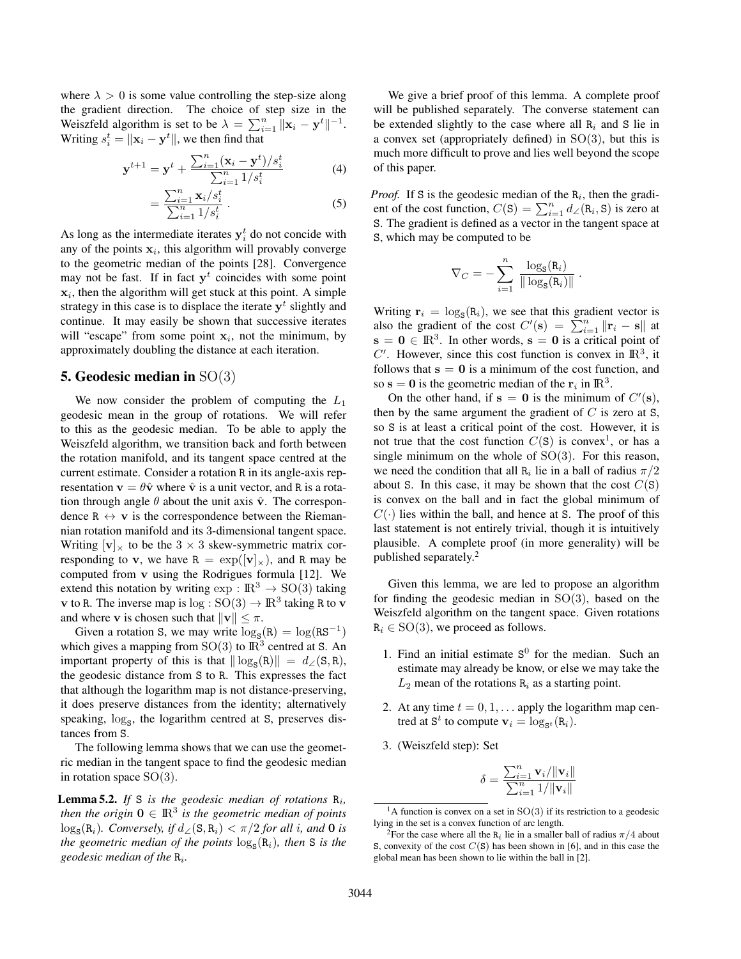where  $\lambda > 0$  is some value controlling the step-size along the gradient direction. The choice of step size in the Weiszfeld algorithm is set to be  $\lambda = \sum_{i=1}^{n} ||\mathbf{x}_i - \mathbf{y}^t||^{-1}$ . Writing  $s_i^t = \|\mathbf{x}_i - \mathbf{y}^t\|$ , we then find that

$$
\mathbf{y}^{t+1} = \mathbf{y}^t + \frac{\sum_{i=1}^n (\mathbf{x}_i - \mathbf{y}^t)/s_i^t}{\sum_{i=1}^n 1/s_i^t}
$$
(4)

$$
=\frac{\sum_{i=1}^{n} \mathbf{x}_i / s_i^t}{\sum_{i=1}^{n} 1 / s_i^t} \ . \tag{5}
$$

As long as the intermediate iterates  $y_i^t$  do not concide with any of the points  $x_i$ , this algorithm will provably converge to the geometric median of the points [28]. Convergence may not be fast. If in fact  $y<sup>t</sup>$  coincides with some point  $x_i$ , then the algorithm will get stuck at this point. A simple strategy in this case is to displace the iterate  $y<sup>t</sup>$  slightly and continue. It may easily be shown that successive iterates will "escape" from some point  $x_i$ , not the minimum, by approximately doubling the distance at each iteration.

#### 5. Geodesic median in SO(3)

We now consider the problem of computing the  $L_1$ geodesic mean in the group of rotations. We will refer to this as the geodesic median. To be able to apply the Weiszfeld algorithm, we transition back and forth between the rotation manifold, and its tangent space centred at the current estimate. Consider a rotation R in its angle-axis representation  $\mathbf{v} = \theta \hat{\mathbf{v}}$  where  $\hat{\mathbf{v}}$  is a unit vector, and R is a rotation through angle  $\theta$  about the unit axis  $\hat{v}$ . The correspondence  $R \leftrightarrow v$  is the correspondence between the Riemannian rotation manifold and its 3-dimensional tangent space. Writing  $[v]_x$  to be the 3  $\times$  3 skew-symmetric matrix corresponding to v, we have  $R = \exp([\mathbf{v}]_{\times})$ , and R may be computed from v using the Rodrigues formula [12]. We extend this notation by writing  $\exp : \mathbb{R}^3 \to SO(3)$  taking **v** to R. The inverse map is  $log : SO(3) \rightarrow \mathbb{R}^3$  taking R to **v** and where **v** is chosen such that  $||\mathbf{v}|| \leq \pi$ .

Given a rotation S, we may write  $\log_{\mathbf{S}}(\mathbf{R}) = \log(\mathbf{R}\mathbf{S}^{-1})$ which gives a mapping from  $SO(3)$  to  $\mathbb{R}^3$  centred at S. An important property of this is that  $\|\log_{\mathbf{S}}(\mathbf{R})\| = d_{\angle}(\mathbf{S}, \mathbf{R}),$ the geodesic distance from S to R. This expresses the fact that although the logarithm map is not distance-preserving, it does preserve distances from the identity; alternatively speaking,  $\log_{s}$ , the logarithm centred at S, preserves distances from S.

The following lemma shows that we can use the geometric median in the tangent space to find the geodesic median in rotation space  $SO(3)$ .

**Lemma 5.2.** If S is the geodesic median of rotations  $R_i$ , then the origin  $0 \in \mathbb{R}^3$  is the geometric median of points  $\log_{\mathbf{S}}(\mathbf{R}_i)$ *. Conversely, if*  $d_{\angle}(\mathbf{S}, \mathbf{R}_i) < \pi/2$  *for all i, and* **0** *is the geometric median of the points*  $\log_{s}(R_{i})$ *, then* S *is the geodesic median of the* R<sup>i</sup> *.*

We give a brief proof of this lemma. A complete proof will be published separately. The converse statement can be extended slightly to the case where all  $R_i$  and S lie in a convex set (appropriately defined) in  $SO(3)$ , but this is much more difficult to prove and lies well beyond the scope of this paper.

*Proof.* If S is the geodesic median of the  $R_i$ , then the gradient of the cost function,  $C(S) = \sum_{i=1}^{n} d \angle (R_i, S)$  is zero at S. The gradient is defined as a vector in the tangent space at S, which may be computed to be

$$
\nabla_C = -\sum_{i=1}^n \frac{\log_\text{S}(\textbf{R}_i)}{\|\log_\text{S}(\textbf{R}_i)\|}
$$

.

Writing  $\mathbf{r}_i = \log_{\mathbf{S}}(\mathbf{R}_i)$ , we see that this gradient vector is also the gradient of the cost  $C'(\mathbf{s}) = \sum_{i=1}^{n} ||\mathbf{r}_i - \mathbf{s}||$  at  $\mathbf{s} = \mathbf{0} \in \mathbb{R}^3$ . In other words,  $\mathbf{s} = \mathbf{0}$  is a critical point of  $C'$ . However, since this cost function is convex in  $\mathbb{R}^3$ , it follows that  $s = 0$  is a minimum of the cost function, and so  $s = 0$  is the geometric median of the  $r_i$  in  $\mathbb{R}^3$ .

On the other hand, if  $s = 0$  is the minimum of  $C'(s)$ , then by the same argument the gradient of  $C$  is zero at  $S$ , so S is at least a critical point of the cost. However, it is not true that the cost function  $C(S)$  is convex<sup>1</sup>, or has a single minimum on the whole of  $SO(3)$ . For this reason, we need the condition that all  $R_i$  lie in a ball of radius  $\pi/2$ about S. In this case, it may be shown that the cost  $C(S)$ is convex on the ball and in fact the global minimum of  $C(\cdot)$  lies within the ball, and hence at S. The proof of this last statement is not entirely trivial, though it is intuitively plausible. A complete proof (in more generality) will be published separately.<sup>2</sup>

Given this lemma, we are led to propose an algorithm for finding the geodesic median in  $SO(3)$ , based on the Weiszfeld algorithm on the tangent space. Given rotations  $R_i \in SO(3)$ , we proceed as follows.

- 1. Find an initial estimate  $S^0$  for the median. Such an estimate may already be know, or else we may take the  $L_2$  mean of the rotations  $\mathbf{R}_i$  as a starting point.
- 2. At any time  $t = 0, 1, \dots$  apply the logarithm map centred at  $S^t$  to compute  $v_i = \log_{S^t}(R_i)$ .
- 3. (Weiszfeld step): Set

$$
\delta = \frac{\sum_{i=1}^{n} \mathbf{v}_i / ||\mathbf{v}_i||}{\sum_{i=1}^{n} 1 / ||\mathbf{v}_i||}
$$

 $1A$  function is convex on a set in SO(3) if its restriction to a geodesic lying in the set is a convex function of arc length.

<sup>&</sup>lt;sup>2</sup>For the case where all the R<sub>i</sub> lie in a smaller ball of radius  $\pi/4$  about S, convexity of the cost  $C(S)$  has been shown in [6], and in this case the global mean has been shown to lie within the ball in [2].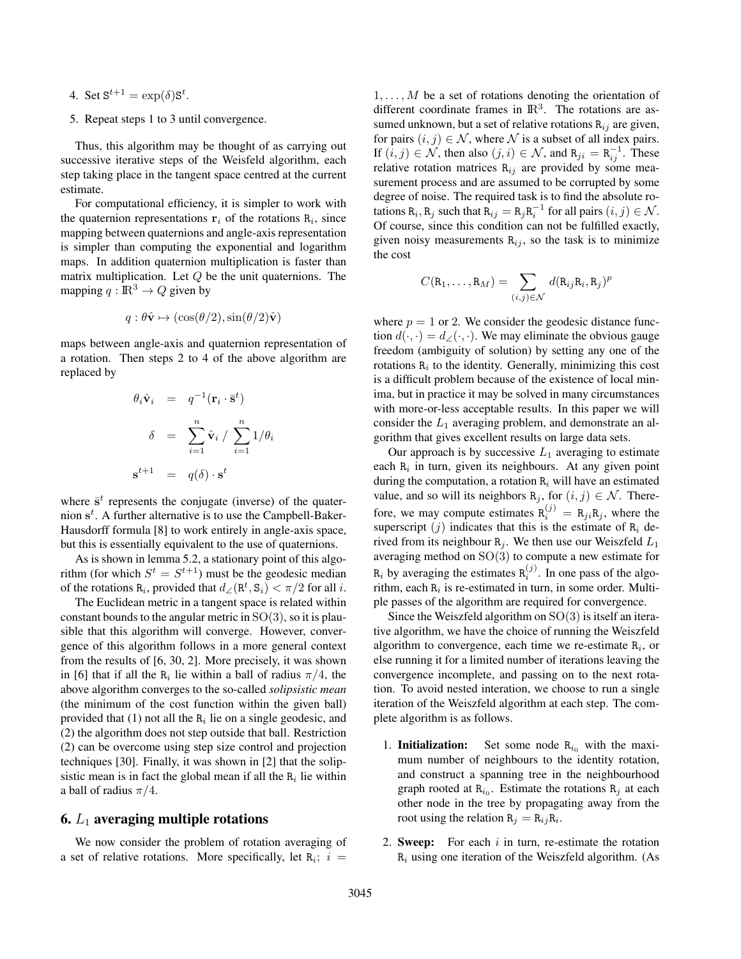- 4. Set  $S^{t+1} = \exp(\delta)S^t$ .
- 5. Repeat steps 1 to 3 until convergence.

Thus, this algorithm may be thought of as carrying out successive iterative steps of the Weisfeld algorithm, each step taking place in the tangent space centred at the current estimate.

For computational efficiency, it is simpler to work with the quaternion representations  $\mathbf{r}_i$  of the rotations  $\mathbf{R}_i$ , since mapping between quaternions and angle-axis representation is simpler than computing the exponential and logarithm maps. In addition quaternion multiplication is faster than matrix multiplication. Let  $Q$  be the unit quaternions. The mapping  $q : \mathbb{R}^3 \to Q$  given by

$$
q: \theta \hat{\mathbf{v}} \mapsto (\cos(\theta/2), \sin(\theta/2)\hat{\mathbf{v}})
$$

maps between angle-axis and quaternion representation of a rotation. Then steps 2 to 4 of the above algorithm are replaced by

$$
\theta_i \hat{\mathbf{v}}_i = q^{-1} (\mathbf{r}_i \cdot \bar{\mathbf{s}}^t)
$$

$$
\delta = \sum_{i=1}^n \hat{\mathbf{v}}_i / \sum_{i=1}^n 1/\theta_i
$$

$$
\mathbf{s}^{t+1} = q(\delta) \cdot \mathbf{s}^t
$$

where  $\bar{s}^t$  represents the conjugate (inverse) of the quaternion  $s<sup>t</sup>$ . A further alternative is to use the Campbell-Baker-Hausdorff formula [8] to work entirely in angle-axis space, but this is essentially equivalent to the use of quaternions.

As is shown in lemma 5.2, a stationary point of this algorithm (for which  $S^t = S^{t+1}$ ) must be the geodesic median of the rotations R<sub>i</sub>, provided that  $d_{\angle}(\mathbb{R}^t, \mathbb{S}_i) < \pi/2$  for all i.

The Euclidean metric in a tangent space is related within constant bounds to the angular metric in  $SO(3)$ , so it is plausible that this algorithm will converge. However, convergence of this algorithm follows in a more general context from the results of [6, 30, 2]. More precisely, it was shown in [6] that if all the  $R_i$  lie within a ball of radius  $\pi/4$ , the above algorithm converges to the so-called *solipsistic mean* (the minimum of the cost function within the given ball) provided that (1) not all the  $R_i$  lie on a single geodesic, and (2) the algorithm does not step outside that ball. Restriction (2) can be overcome using step size control and projection techniques [30]. Finally, it was shown in [2] that the solipsistic mean is in fact the global mean if all the  $R_i$  lie within a ball of radius  $\pi/4$ .

### 6.  $L_1$  averaging multiple rotations

We now consider the problem of rotation averaging of a set of relative rotations. More specifically, let  $\mathbb{R}_i$ ;  $i =$ 

 $1, \ldots, M$  be a set of rotations denoting the orientation of different coordinate frames in  $\mathbb{R}^3$ . The rotations are assumed unknown, but a set of relative rotations  $R_{ij}$  are given, for pairs  $(i, j) \in \mathcal{N}$ , where  $\mathcal N$  is a subset of all index pairs. If  $(i, j) \in \mathcal{N}$ , then also  $(j, i) \in \mathcal{N}$ , and  $R_{ji} = R_{ij}^{-1}$ . These relative rotation matrices  $R_{ij}$  are provided by some measurement process and are assumed to be corrupted by some degree of noise. The required task is to find the absolute rotations  $\mathbb{R}_i$ ,  $\mathbb{R}_j$  such that  $\mathbb{R}_{ij} = \mathbb{R}_j \mathbb{R}_i^{-1}$  for all pairs  $(i, j) \in \mathcal{N}$ . Of course, since this condition can not be fulfilled exactly, given noisy measurements  $R_{ij}$ , so the task is to minimize the cost

$$
C(\mathbf{R}_1,\ldots,\mathbf{R}_M)=\sum_{(i,j)\in\mathcal{N}}d(\mathbf{R}_{ij}\mathbf{R}_i,\mathbf{R}_j)^p
$$

where  $p = 1$  or 2. We consider the geodesic distance function  $d(\cdot, \cdot) = d_{\angle}(\cdot, \cdot)$ . We may eliminate the obvious gauge freedom (ambiguity of solution) by setting any one of the rotations  $R_i$  to the identity. Generally, minimizing this cost is a difficult problem because of the existence of local minima, but in practice it may be solved in many circumstances with more-or-less acceptable results. In this paper we will consider the  $L_1$  averaging problem, and demonstrate an algorithm that gives excellent results on large data sets.

Our approach is by successive  $L_1$  averaging to estimate each  $R_i$  in turn, given its neighbours. At any given point during the computation, a rotation  $R_i$  will have an estimated value, and so will its neighbors  $R_j$ , for  $(i, j) \in \mathcal{N}$ . Therefore, we may compute estimates  $R_i^{(j)} = R_{ji}R_j$ , where the superscript  $(j)$  indicates that this is the estimate of  $R_i$  derived from its neighbour  $R_i$ . We then use our Weiszfeld  $L_1$ averaging method on SO(3) to compute a new estimate for  $\mathbf{R}_i$  by averaging the estimates  $\mathbf{R}_i^{(j)}$ . In one pass of the algorithm, each  $R_i$  is re-estimated in turn, in some order. Multiple passes of the algorithm are required for convergence.

Since the Weiszfeld algorithm on  $SO(3)$  is itself an iterative algorithm, we have the choice of running the Weiszfeld algorithm to convergence, each time we re-estimate  $R_i$ , or else running it for a limited number of iterations leaving the convergence incomplete, and passing on to the next rotation. To avoid nested interation, we choose to run a single iteration of the Weiszfeld algorithm at each step. The complete algorithm is as follows.

- 1. **Initialization:** Set some node  $R_{i0}$  with the maximum number of neighbours to the identity rotation, and construct a spanning tree in the neighbourhood graph rooted at  $\mathbb{R}_{i_0}$ . Estimate the rotations  $\mathbb{R}_j$  at each other node in the tree by propagating away from the root using the relation  $R_j = R_{ij}R_i$ .
- 2. Sweep: For each  $i$  in turn, re-estimate the rotation  $R_i$  using one iteration of the Weiszfeld algorithm. (As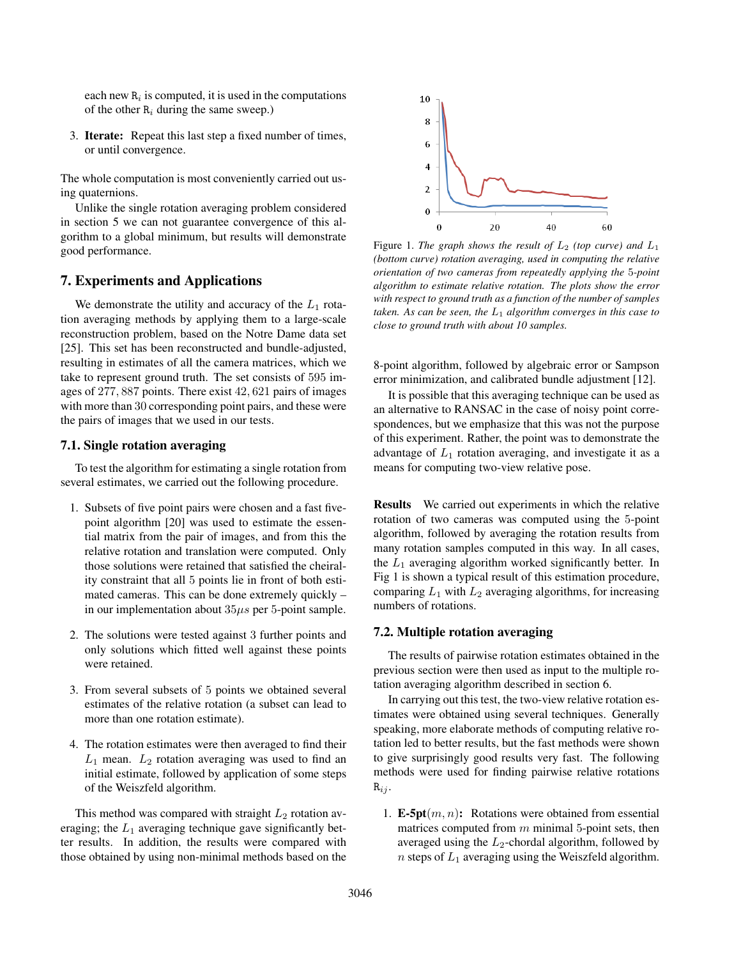each new  $R_i$  is computed, it is used in the computations of the other  $R_i$  during the same sweep.)

3. Iterate: Repeat this last step a fixed number of times, or until convergence.

The whole computation is most conveniently carried out using quaternions.

Unlike the single rotation averaging problem considered in section 5 we can not guarantee convergence of this algorithm to a global minimum, but results will demonstrate good performance.

# 7. Experiments and Applications

We demonstrate the utility and accuracy of the  $L_1$  rotation averaging methods by applying them to a large-scale reconstruction problem, based on the Notre Dame data set [25]. This set has been reconstructed and bundle-adjusted, resulting in estimates of all the camera matrices, which we take to represent ground truth. The set consists of 595 images of 277, 887 points. There exist 42, 621 pairs of images with more than 30 corresponding point pairs, and these were the pairs of images that we used in our tests.

## 7.1. Single rotation averaging

To test the algorithm for estimating a single rotation from several estimates, we carried out the following procedure.

- 1. Subsets of five point pairs were chosen and a fast fivepoint algorithm [20] was used to estimate the essential matrix from the pair of images, and from this the relative rotation and translation were computed. Only those solutions were retained that satisfied the cheirality constraint that all 5 points lie in front of both estimated cameras. This can be done extremely quickly – in our implementation about  $35\mu s$  per 5-point sample.
- 2. The solutions were tested against 3 further points and only solutions which fitted well against these points were retained.
- 3. From several subsets of 5 points we obtained several estimates of the relative rotation (a subset can lead to more than one rotation estimate).
- 4. The rotation estimates were then averaged to find their  $L_1$  mean.  $L_2$  rotation averaging was used to find an initial estimate, followed by application of some steps of the Weiszfeld algorithm.

This method was compared with straight  $L_2$  rotation averaging; the  $L_1$  averaging technique gave significantly better results. In addition, the results were compared with those obtained by using non-minimal methods based on the



Figure 1. The graph shows the result of  $L_2$  (top curve) and  $L_1$ *(bottom curve) rotation averaging, used in computing the relative orientation of two cameras from repeatedly applying the* 5*-point algorithm to estimate relative rotation. The plots show the error with respect to ground truth as a function of the number of samples taken. As can be seen, the* L<sup>1</sup> *algorithm converges in this case to close to ground truth with about 10 samples.*

8-point algorithm, followed by algebraic error or Sampson error minimization, and calibrated bundle adjustment [12].

It is possible that this averaging technique can be used as an alternative to RANSAC in the case of noisy point correspondences, but we emphasize that this was not the purpose of this experiment. Rather, the point was to demonstrate the advantage of  $L_1$  rotation averaging, and investigate it as a means for computing two-view relative pose.

Results We carried out experiments in which the relative rotation of two cameras was computed using the 5-point algorithm, followed by averaging the rotation results from many rotation samples computed in this way. In all cases, the  $L_1$  averaging algorithm worked significantly better. In Fig 1 is shown a typical result of this estimation procedure, comparing  $L_1$  with  $L_2$  averaging algorithms, for increasing numbers of rotations.

### 7.2. Multiple rotation averaging

The results of pairwise rotation estimates obtained in the previous section were then used as input to the multiple rotation averaging algorithm described in section 6.

In carrying out this test, the two-view relative rotation estimates were obtained using several techniques. Generally speaking, more elaborate methods of computing relative rotation led to better results, but the fast methods were shown to give surprisingly good results very fast. The following methods were used for finding pairwise relative rotations  $R_{ij}$ .

1. **E-5pt** $(m, n)$ : Rotations were obtained from essential matrices computed from  $m$  minimal 5-point sets, then averaged using the  $L_2$ -chordal algorithm, followed by  $n$  steps of  $L_1$  averaging using the Weiszfeld algorithm.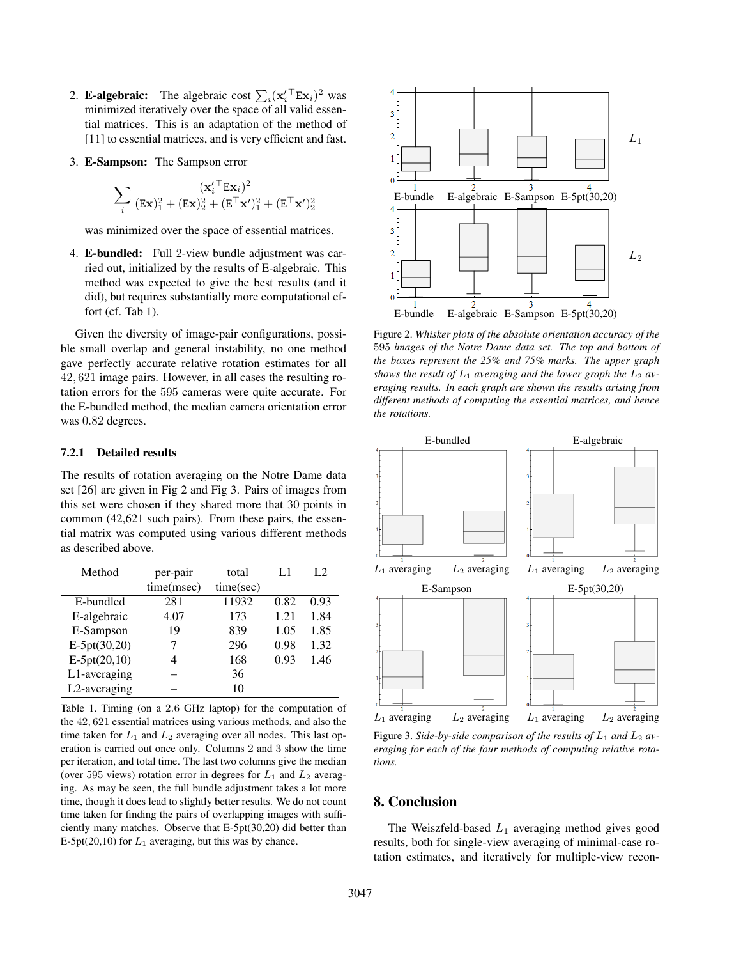- 2. **E-algebraic:** The algebraic cost  $\sum_i (\mathbf{x}_i'^{\top} \mathbf{E} \mathbf{x}_i)^2$  was minimized iteratively over the space of all valid essential matrices. This is an adaptation of the method of [11] to essential matrices, and is very efficient and fast.
- 3. E-Sampson: The Sampson error

$$
\sum_i \frac{(\mathbf{x}_i'^{\top} \mathbf{E} \mathbf{x}_i)^2}{(\mathbf{E} \mathbf{x})_1^2 + (\mathbf{E} \mathbf{x})_2^2 + (\mathbf{E}^{\top} \mathbf{x}')_1^2 + (\mathbf{E}^{\top} \mathbf{x}')_2^2}
$$

was minimized over the space of essential matrices.

4. E-bundled: Full 2-view bundle adjustment was carried out, initialized by the results of E-algebraic. This method was expected to give the best results (and it did), but requires substantially more computational effort (cf. Tab 1).

Given the diversity of image-pair configurations, possible small overlap and general instability, no one method gave perfectly accurate relative rotation estimates for all 42, 621 image pairs. However, in all cases the resulting rotation errors for the 595 cameras were quite accurate. For the E-bundled method, the median camera orientation error was  $0.82$  degrees.

### 7.2.1 Detailed results

The results of rotation averaging on the Notre Dame data set [26] are given in Fig 2 and Fig 3. Pairs of images from this set were chosen if they shared more that 30 points in common (42,621 such pairs). From these pairs, the essential matrix was computed using various different methods as described above.

| Method         | per-pair   | total     | L1   | L <sub>2</sub> |
|----------------|------------|-----------|------|----------------|
|                | time(msec) | time(sec) |      |                |
| E-bundled      | 281        | 11932     | 0.82 | 0.93           |
| E-algebraic    | 4.07       | 173       | 1.21 | 1.84           |
| E-Sampson      | 19         | 839       | 1.05 | 1.85           |
| $E-5pt(30,20)$ |            | 296       | 0.98 | 1.32           |
| $E-5pt(20,10)$ | 4          | 168       | 0.93 | 1.46           |
| L1-averaging   |            | 36        |      |                |
| L2-averaging   |            | 10        |      |                |

Table 1. Timing (on a 2.6 GHz laptop) for the computation of the 42, 621 essential matrices using various methods, and also the time taken for  $L_1$  and  $L_2$  averaging over all nodes. This last operation is carried out once only. Columns 2 and 3 show the time per iteration, and total time. The last two columns give the median (over 595 views) rotation error in degrees for  $L_1$  and  $L_2$  averaging. As may be seen, the full bundle adjustment takes a lot more time, though it does lead to slightly better results. We do not count time taken for finding the pairs of overlapping images with sufficiently many matches. Observe that E-5pt(30,20) did better than E-5pt(20,10) for  $L_1$  averaging, but this was by chance.



Figure 2. *Whisker plots of the absolute orientation accuracy of the* 595 *images of the Notre Dame data set. The top and bottom of the boxes represent the 25% and 75% marks. The upper graph* shows the result of  $L_1$  averaging and the lower graph the  $L_2$  av*eraging results. In each graph are shown the results arising from different methods of computing the essential matrices, and hence the rotations.*



Figure 3. Side-by-side comparison of the results of  $L_1$  and  $L_2$  av*eraging for each of the four methods of computing relative rotations.*

# 8. Conclusion

The Weiszfeld-based  $L_1$  averaging method gives good results, both for single-view averaging of minimal-case rotation estimates, and iteratively for multiple-view recon-